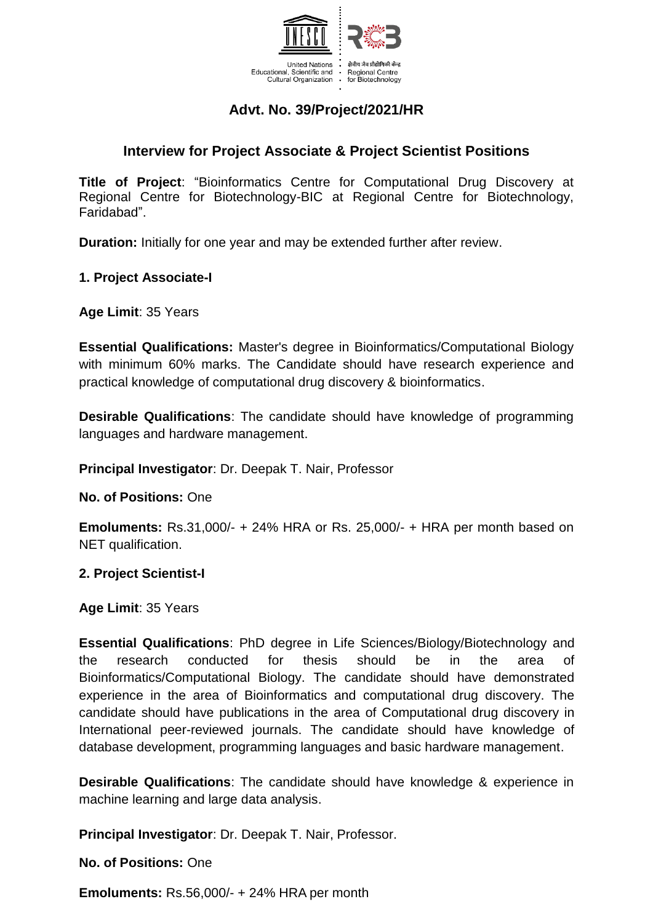

# **Advt. No. 39/Project/2021/HR**

# **Interview for Project Associate & Project Scientist Positions**

**Title of Project**: "Bioinformatics Centre for Computational Drug Discovery at Regional Centre for Biotechnology-BIC at Regional Centre for Biotechnology, Faridabad".

**Duration:** Initially for one year and may be extended further after review.

### **1. Project Associate-I**

**Age Limit**: 35 Years

**Essential Qualifications:** Master's degree in Bioinformatics/Computational Biology with minimum 60% marks. The Candidate should have research experience and practical knowledge of computational drug discovery & bioinformatics.

**Desirable Qualifications**: The candidate should have knowledge of programming languages and hardware management.

**Principal Investigator**: Dr. Deepak T. Nair, Professor

**No. of Positions:** One

**Emoluments:** Rs.31,000/- + 24% HRA or Rs. 25,000/- + HRA per month based on NET qualification.

#### **2. Project Scientist-I**

**Age Limit**: 35 Years

**Essential Qualifications**: PhD degree in Life Sciences/Biology/Biotechnology and the research conducted for thesis should be in the area of Bioinformatics/Computational Biology. The candidate should have demonstrated experience in the area of Bioinformatics and computational drug discovery. The candidate should have publications in the area of Computational drug discovery in International peer-reviewed journals. The candidate should have knowledge of database development, programming languages and basic hardware management.

**Desirable Qualifications**: The candidate should have knowledge & experience in machine learning and large data analysis.

**Principal Investigator**: Dr. Deepak T. Nair, Professor.

**No. of Positions:** One

**Emoluments:** Rs.56,000/- + 24% HRA per month